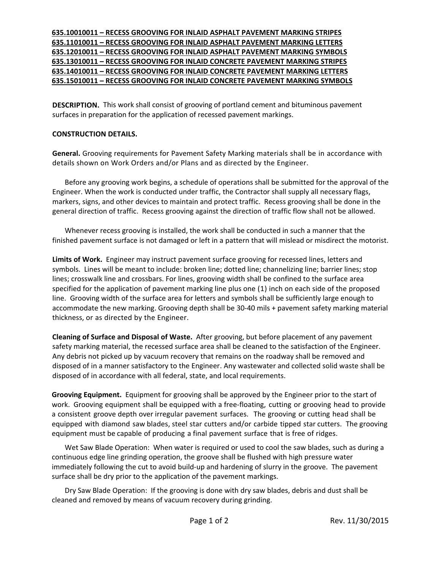## **635.10010011 – RECESS GROOVING FOR INLAID ASPHALT PAVEMENT MARKING STRIPES 635.11010011 – RECESS GROOVING FOR INLAID ASPHALT PAVEMENT MARKING LETTERS 635.12010011 – RECESS GROOVING FOR INLAID ASPHALT PAVEMENT MARKING SYMBOLS 635.13010011 – RECESS GROOVING FOR INLAID CONCRETE PAVEMENT MARKING STRIPES 635.14010011 – RECESS GROOVING FOR INLAID CONCRETE PAVEMENT MARKING LETTERS 635.15010011 – RECESS GROOVING FOR INLAID CONCRETE PAVEMENT MARKING SYMBOLS**

**DESCRIPTION.** This work shall consist of grooving of portland cement and bituminous pavement surfaces in preparation for the application of recessed pavement markings.

### **CONSTRUCTION DETAILS.**

**General.** Grooving requirements for Pavement Safety Marking materials shall be in accordance with details shown on Work Orders and/or Plans and as directed by the Engineer.

 Before any grooving work begins, a schedule of operations shall be submitted for the approval of the Engineer. When the work is conducted under traffic, the Contractor shall supply all necessary flags, markers, signs, and other devices to maintain and protect traffic. Recess grooving shall be done in the general direction of traffic. Recess grooving against the direction of traffic flow shall not be allowed.

 Whenever recess grooving is installed, the work shall be conducted in such a manner that the finished pavement surface is not damaged or left in a pattern that will mislead or misdirect the motorist.

**Limits of Work.** Engineer may instruct pavement surface grooving for recessed lines, letters and symbols. Lines will be meant to include: broken line; dotted line; channelizing line; barrier lines; stop lines; crosswalk line and crossbars. For lines, grooving width shall be confined to the surface area specified for the application of pavement marking line plus one (1) inch on each side of the proposed line. Grooving width of the surface area for letters and symbols shall be sufficiently large enough to accommodate the new marking. Grooving depth shall be 30-40 mils + pavement safety marking material thickness, or as directed by the Engineer.

**Cleaning of Surface and Disposal of Waste.** After grooving, but before placement of any pavement safety marking material, the recessed surface area shall be cleaned to the satisfaction of the Engineer. Any debris not picked up by vacuum recovery that remains on the roadway shall be removed and disposed of in a manner satisfactory to the Engineer. Any wastewater and collected solid waste shall be disposed of in accordance with all federal, state, and local requirements.

**Grooving Equipment.** Equipment for grooving shall be approved by the Engineer prior to the start of work. Grooving equipment shall be equipped with a free-floating, cutting or grooving head to provide a consistent groove depth over irregular pavement surfaces. The grooving or cutting head shall be equipped with diamond saw blades, steel star cutters and/or carbide tipped star cutters. The grooving equipment must be capable of producing a final pavement surface that is free of ridges.

Wet Saw Blade Operation: When water is required or used to cool the saw blades, such as during a continuous edge line grinding operation, the groove shall be flushed with high pressure water immediately following the cut to avoid build-up and hardening of slurry in the groove. The pavement surface shall be dry prior to the application of the pavement markings.

Dry Saw Blade Operation: If the grooving is done with dry saw blades, debris and dust shall be cleaned and removed by means of vacuum recovery during grinding.